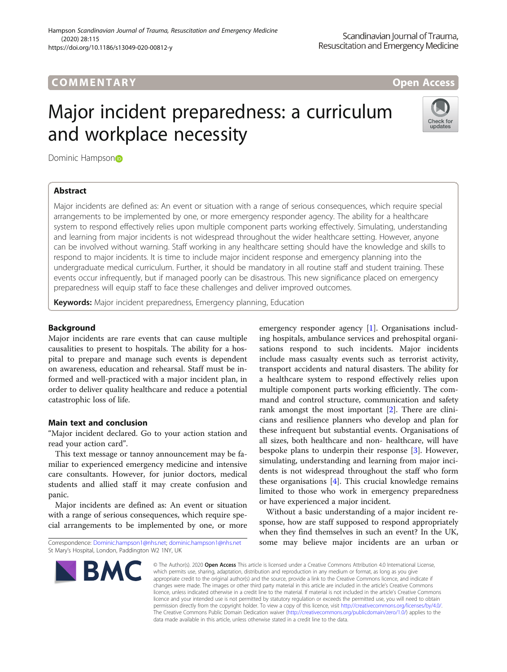# COMM EN TARY Open Access

# Major incident preparedness: a curriculum and workplace necessity



Domi[n](https://orcid.org/0000-0002-6608-1507)ic Hampson<sup>®</sup>

# Abstract

Major incidents are defined as: An event or situation with a range of serious consequences, which require special arrangements to be implemented by one, or more emergency responder agency. The ability for a healthcare system to respond effectively relies upon multiple component parts working effectively. Simulating, understanding and learning from major incidents is not widespread throughout the wider healthcare setting. However, anyone can be involved without warning. Staff working in any healthcare setting should have the knowledge and skills to respond to major incidents. It is time to include major incident response and emergency planning into the undergraduate medical curriculum. Further, it should be mandatory in all routine staff and student training. These events occur infrequently, but if managed poorly can be disastrous. This new significance placed on emergency preparedness will equip staff to face these challenges and deliver improved outcomes.

Keywords: Major incident preparedness, Emergency planning, Education

# Background

Major incidents are rare events that can cause multiple causalities to present to hospitals. The ability for a hospital to prepare and manage such events is dependent on awareness, education and rehearsal. Staff must be informed and well-practiced with a major incident plan, in order to deliver quality healthcare and reduce a potential catastrophic loss of life.

## Main text and conclusion

"Major incident declared. Go to your action station and read your action card".

This text message or tannoy announcement may be familiar to experienced emergency medicine and intensive care consultants. However, for junior doctors, medical students and allied staff it may create confusion and panic.

Major incidents are defined as: An event or situation with a range of serious consequences, which require special arrangements to be implemented by one, or more

Correspondence: [Dominic.hampson1@nhs.net](mailto:Dominic.hampson1@nhs.net); [dominic.hampson1@nhs.net](mailto:dominic.hampson1@nhs.net) St Mary's Hospital, London, Paddington W2 1NY, UK

emergency responder agency [[1\]](#page-1-0). Organisations including hospitals, ambulance services and prehospital organisations respond to such incidents. Major incidents include mass casualty events such as terrorist activity, transport accidents and natural disasters. The ability for a healthcare system to respond effectively relies upon multiple component parts working efficiently. The command and control structure, communication and safety rank amongst the most important [\[2](#page-1-0)]. There are clinicians and resilience planners who develop and plan for these infrequent but substantial events. Organisations of all sizes, both healthcare and non- healthcare, will have bespoke plans to underpin their response [[3\]](#page-1-0). However, simulating, understanding and learning from major incidents is not widespread throughout the staff who form these organisations [[4\]](#page-1-0). This crucial knowledge remains limited to those who work in emergency preparedness or have experienced a major incident.

Without a basic understanding of a major incident response, how are staff supposed to respond appropriately when they find themselves in such an event? In the UK, some may believe major incidents are an urban or

© The Author(s), 2020 **Open Access** This article is licensed under a Creative Commons Attribution 4.0 International License, which permits use, sharing, adaptation, distribution and reproduction in any medium or format, as long as you give appropriate credit to the original author(s) and the source, provide a link to the Creative Commons licence, and indicate if changes were made. The images or other third party material in this article are included in the article's Creative Commons licence, unless indicated otherwise in a credit line to the material. If material is not included in the article's Creative Commons licence and your intended use is not permitted by statutory regulation or exceeds the permitted use, you will need to obtain permission directly from the copyright holder. To view a copy of this licence, visit [http://creativecommons.org/licenses/by/4.0/.](http://creativecommons.org/licenses/by/4.0/) The Creative Commons Public Domain Dedication waiver [\(http://creativecommons.org/publicdomain/zero/1.0/](http://creativecommons.org/publicdomain/zero/1.0/)) applies to the data made available in this article, unless otherwise stated in a credit line to the data.

**BMC**